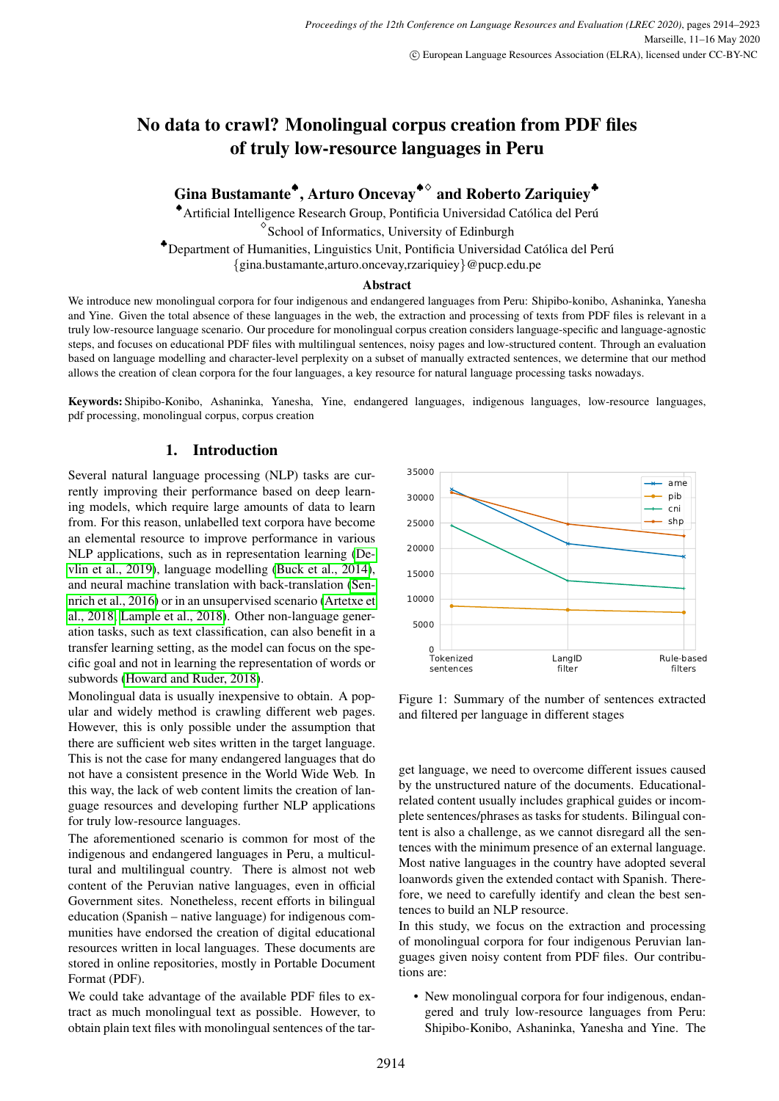## No data to crawl? Monolingual corpus creation from PDF files of truly low-resource languages in Peru

Gina Bustamante<sup>◆</sup>, Arturo Oncevay<sup>◆◇</sup> and Roberto Zariquiey<sup>◆</sup>

◆ Artificial Intelligence Research Group, Pontificia Universidad Católica del Perú ♢ School of Informatics, University of Edinburgh

\*Department of Humanities, Linguistics Unit, Pontificia Universidad Católica del Perú

{gina.bustamante,arturo.oncevay,rzariquiey}@pucp.edu.pe

#### Abstract

We introduce new monolingual corpora for four indigenous and endangered languages from Peru: Shipibo-konibo, Ashaninka, Yanesha and Yine. Given the total absence of these languages in the web, the extraction and processing of texts from PDF files is relevant in a truly low-resource language scenario. Our procedure for monolingual corpus creation considers language-specific and language-agnostic steps, and focuses on educational PDF files with multilingual sentences, noisy pages and low-structured content. Through an evaluation based on language modelling and character-level perplexity on a subset of manually extracted sentences, we determine that our method allows the creation of clean corpora for the four languages, a key resource for natural language processing tasks nowadays.

Keywords: Shipibo-Konibo, Ashaninka, Yanesha, Yine, endangered languages, indigenous languages, low-resource languages, pdf processing, monolingual corpus, corpus creation

#### 1. Introduction

Several natural language processing (NLP) tasks are currently improving their performance based on deep learning models, which require large amounts of data to learn from. For this reason, unlabelled text corpora have become an elemental resource to improve performance in various NLP applications, such as in representation learning [\(De](#page-8-0)[vlin et al., 2019\)](#page-8-0), language modelling [\(Buck et al., 2014\)](#page-8-1), and neural machine translation with back-translation [\(Sen](#page-9-0)[nrich et al., 2016\)](#page-9-0) or in an unsupervised scenario [\(Artetxe et](#page-8-2) [al., 2018;](#page-8-2) [Lample et al., 2018\)](#page-8-3). Other non-language generation tasks, such as text classification, can also benefit in a transfer learning setting, as the model can focus on the specific goal and not in learning the representation of words or subwords [\(Howard and Ruder, 2018\)](#page-8-4).

Monolingual data is usually inexpensive to obtain. A popular and widely method is crawling different web pages. However, this is only possible under the assumption that there are sufficient web sites written in the target language. This is not the case for many endangered languages that do not have a consistent presence in the World Wide Web. In this way, the lack of web content limits the creation of language resources and developing further NLP applications for truly low-resource languages.

The aforementioned scenario is common for most of the indigenous and endangered languages in Peru, a multicultural and multilingual country. There is almost not web content of the Peruvian native languages, even in official Government sites. Nonetheless, recent efforts in bilingual education (Spanish – native language) for indigenous communities have endorsed the creation of digital educational resources written in local languages. These documents are stored in online repositories, mostly in Portable Document Format (PDF).

We could take advantage of the available PDF files to extract as much monolingual text as possible. However, to obtain plain text files with monolingual sentences of the tar-

<span id="page-0-0"></span>

Figure 1: Summary of the number of sentences extracted and filtered per language in different stages

get language, we need to overcome different issues caused by the unstructured nature of the documents. Educationalrelated content usually includes graphical guides or incomplete sentences/phrases as tasks for students. Bilingual content is also a challenge, as we cannot disregard all the sentences with the minimum presence of an external language. Most native languages in the country have adopted several loanwords given the extended contact with Spanish. Therefore, we need to carefully identify and clean the best sentences to build an NLP resource.

In this study, we focus on the extraction and processing of monolingual corpora for four indigenous Peruvian languages given noisy content from PDF files. Our contributions are:

• New monolingual corpora for four indigenous, endangered and truly low-resource languages from Peru: Shipibo-Konibo, Ashaninka, Yanesha and Yine. The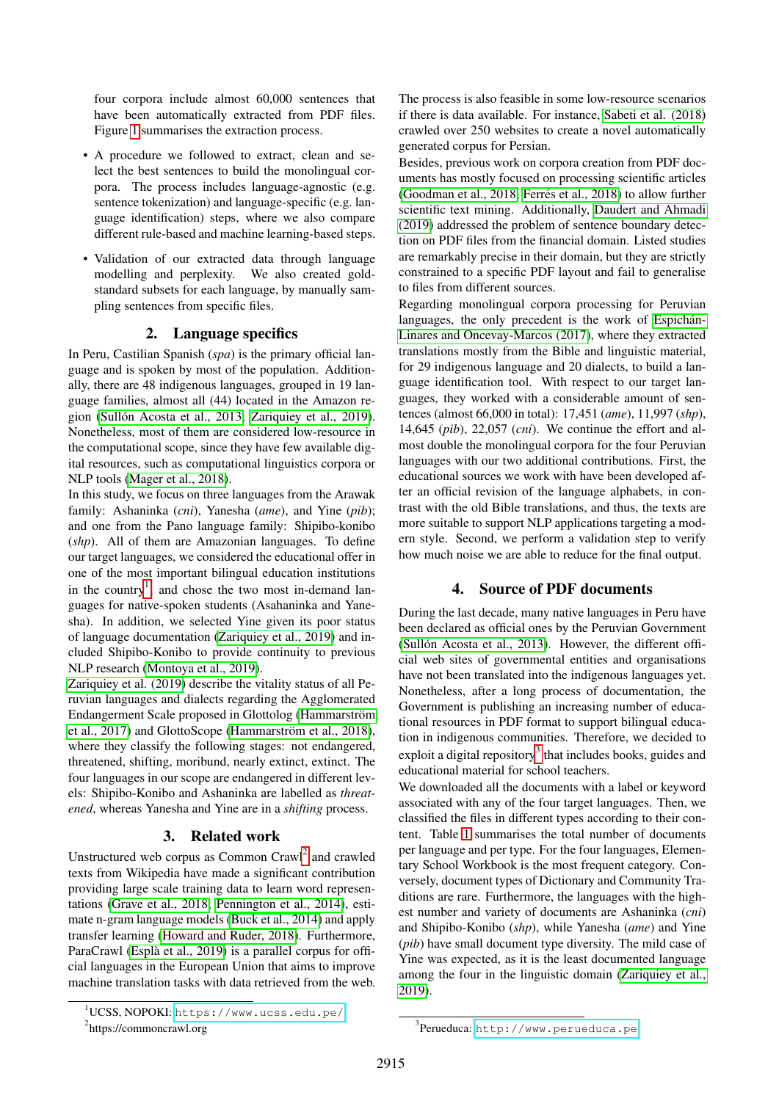four corpora include almost 60,000 sentences that have been automatically extracted from PDF files. Figure [1](#page-0-0) summarises the extraction process.

- A procedure we followed to extract, clean and select the best sentences to build the monolingual corpora. The process includes language-agnostic (e.g. sentence tokenization) and language-specific (e.g. language identification) steps, where we also compare different rule-based and machine learning-based steps.
- Validation of our extracted data through language modelling and perplexity. We also created goldstandard subsets for each language, by manually sampling sentences from specific files.

#### 2. Language specifics

In Peru, Castilian Spanish (*spa*) is the primary official language and is spoken by most of the population. Additionally, there are 48 indigenous languages, grouped in 19 language families, almost all (44) located in the Amazon re-gion (Sullón Acosta et al., 2013; [Zariquiey et al., 2019\)](#page-9-2). Nonetheless, most of them are considered low-resource in the computational scope, since they have few available digital resources, such as computational linguistics corpora or NLP tools [\(Mager et al., 2018\)](#page-8-5).

In this study, we focus on three languages from the Arawak family: Ashaninka (*cni*), Yanesha (*ame*), and Yine (*pib*); and one from the Pano language family: Shipibo-konibo (*shp*). All of them are Amazonian languages. To define our target languages, we considered the educational offer in one of the most important bilingual education institutions in the country<sup>[1](#page-1-0)</sup>, and chose the two most in-demand languages for native-spoken students (Asahaninka and Yanesha). In addition, we selected Yine given its poor status of language documentation [\(Zariquiey et al., 2019\)](#page-9-2) and included Shipibo-Konibo to provide continuity to previous NLP research [\(Montoya et al., 2019\)](#page-8-6).

[Zariquiey et al. \(2019\)](#page-9-2) describe the vitality status of all Peruvian languages and dialects regarding the Agglomerated Endangerment Scale proposed in Glottolog (Hammarström [et al., 2017\)](#page-8-7) and GlottoScope (Hammarström et al., 2018), where they classify the following stages: not endangered, threatened, shifting, moribund, nearly extinct, extinct. The four languages in our scope are endangered in different levels: Shipibo-Konibo and Ashaninka are labelled as *threatened*, whereas Yanesha and Yine are in a *shifting* process.

#### 3. Related work

Unstructured web corpus as Common Crawl<sup>[2](#page-1-1)</sup> and crawled texts from Wikipedia have made a significant contribution providing large scale training data to learn word representations [\(Grave et al., 2018;](#page-8-9) [Pennington et al., 2014\)](#page-8-10), estimate n-gram language models [\(Buck et al., 2014\)](#page-8-1) and apply transfer learning [\(Howard and Ruder, 2018\)](#page-8-4). Furthermore, ParaCrawl (Esplà et al., 2019) is a parallel corpus for official languages in the European Union that aims to improve machine translation tasks with data retrieved from the web.

The process is also feasible in some low-resource scenarios if there is data available. For instance, [Sabeti et al. \(2018\)](#page-9-3) crawled over 250 websites to create a novel automatically generated corpus for Persian.

Besides, previous work on corpora creation from PDF documents has mostly focused on processing scientific articles [\(Goodman et al., 2018;](#page-8-12) Ferrés et al., 2018) to allow further scientific text mining. Additionally, [Daudert and Ahmadi](#page-8-14) [\(2019\)](#page-8-14) addressed the problem of sentence boundary detection on PDF files from the financial domain. Listed studies are remarkably precise in their domain, but they are strictly constrained to a specific PDF layout and fail to generalise to files from different sources.

Regarding monolingual corpora processing for Peruvian languages, the only precedent is the work of Espichán-[Linares and Oncevay-Marcos \(2017\)](#page-8-15), where they extracted translations mostly from the Bible and linguistic material, for 29 indigenous language and 20 dialects, to build a language identification tool. With respect to our target languages, they worked with a considerable amount of sentences (almost 66,000 in total): 17,451 (*ame*), 11,997 (*shp*), 14,645 (*pib*), 22,057 (*cni*). We continue the effort and almost double the monolingual corpora for the four Peruvian languages with our two additional contributions. First, the educational sources we work with have been developed after an official revision of the language alphabets, in contrast with the old Bible translations, and thus, the texts are more suitable to support NLP applications targeting a modern style. Second, we perform a validation step to verify how much noise we are able to reduce for the final output.

#### 4. Source of PDF documents

During the last decade, many native languages in Peru have been declared as official ones by the Peruvian Government (Sullón Acosta et al., 2013). However, the different official web sites of governmental entities and organisations have not been translated into the indigenous languages yet. Nonetheless, after a long process of documentation, the Government is publishing an increasing number of educational resources in PDF format to support bilingual education in indigenous communities. Therefore, we decided to exploit a digital repository<sup>[3](#page-1-2)</sup> that includes books, guides and educational material for school teachers.

We downloaded all the documents with a label or keyword associated with any of the four target languages. Then, we classified the files in different types according to their content. Table [1](#page-2-0) summarises the total number of documents per language and per type. For the four languages, Elementary School Workbook is the most frequent category. Conversely, document types of Dictionary and Community Traditions are rare. Furthermore, the languages with the highest number and variety of documents are Ashaninka (*cni*) and Shipibo-Konibo (*shp*), while Yanesha (*ame*) and Yine (*pib*) have small document type diversity. The mild case of Yine was expected, as it is the least documented language among the four in the linguistic domain [\(Zariquiey et al.,](#page-9-2) [2019\)](#page-9-2).

<span id="page-1-2"></span>3<br>Perueduca: <http://www.perueduca.pe>

<span id="page-1-0"></span><sup>1</sup>UCSS, NOPOKI: <https://www.ucss.edu.pe/>

<span id="page-1-1"></span><sup>&</sup>lt;sup>2</sup>https://commoncrawl.org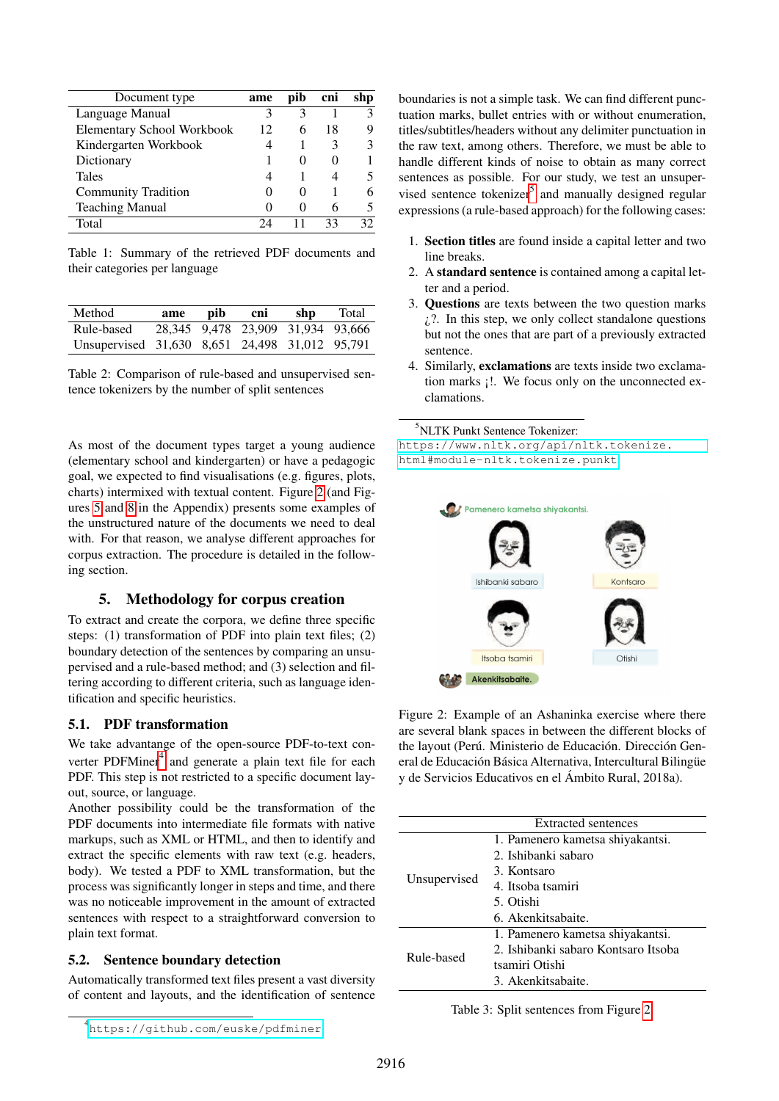<span id="page-2-0"></span>

| Document type                     | ame | pib               | cni | shp |
|-----------------------------------|-----|-------------------|-----|-----|
| Language Manual                   | 3   |                   |     |     |
| <b>Elementary School Workbook</b> | 12  | h                 | 18  |     |
| Kindergarten Workbook             | 4   |                   | 3   |     |
| Dictionary                        |     | $\mathbf{\Omega}$ |     |     |
| <b>Tales</b>                      | 4   |                   |     |     |
| <b>Community Tradition</b>        | 0   | $\Omega$          |     |     |
| <b>Teaching Manual</b>            | 0   | $\Omega$          | 6   |     |
| Total                             |     |                   | 33  | 30  |

Table 1: Summary of the retrieved PDF documents and their categories per language

<span id="page-2-4"></span>

| Method                                         | ame | pib | cni                               | shp | Total |
|------------------------------------------------|-----|-----|-----------------------------------|-----|-------|
| Rule-based                                     |     |     | 28.345 9.478 23.909 31.934 93.666 |     |       |
| Unsupervised 31,630 8,651 24,498 31,012 95,791 |     |     |                                   |     |       |

Table 2: Comparison of rule-based and unsupervised sentence tokenizers by the number of split sentences

As most of the document types target a young audience (elementary school and kindergarten) or have a pedagogic goal, we expected to find visualisations (e.g. figures, plots, charts) intermixed with textual content. Figure [2](#page-2-1) (and Figures [5](#page-6-0) and [8](#page-7-0) in the Appendix) presents some examples of the unstructured nature of the documents we need to deal with. For that reason, we analyse different approaches for corpus extraction. The procedure is detailed in the following section.

#### 5. Methodology for corpus creation

To extract and create the corpora, we define three specific steps: (1) transformation of PDF into plain text files; (2) boundary detection of the sentences by comparing an unsupervised and a rule-based method; and (3) selection and filtering according to different criteria, such as language identification and specific heuristics.

#### 5.1. PDF transformation

We take advantange of the open-source PDF-to-text con-verter PDFMiner<sup>[4](#page-2-2)</sup> and generate a plain text file for each PDF. This step is not restricted to a specific document layout, source, or language.

Another possibility could be the transformation of the PDF documents into intermediate file formats with native markups, such as XML or HTML, and then to identify and extract the specific elements with raw text (e.g. headers, body). We tested a PDF to XML transformation, but the process was significantly longer in steps and time, and there was no noticeable improvement in the amount of extracted sentences with respect to a straightforward conversion to plain text format.

#### 5.2. Sentence boundary detection

Automatically transformed text files present a vast diversity of content and layouts, and the identification of sentence

boundaries is not a simple task. We can find different punctuation marks, bullet entries with or without enumeration, titles/subtitles/headers without any delimiter punctuation in the raw text, among others. Therefore, we must be able to handle different kinds of noise to obtain as many correct sentences as possible. For our study, we test an unsuper-vised sentence tokenizer<sup>[5](#page-2-3)</sup> and manually designed regular expressions (a rule-based approach) for the following cases:

- 1. Section titles are found inside a capital letter and two line breaks.
- 2. A standard sentence is contained among a capital letter and a period.
- 3. Questions are texts between the two question marks  $\lambda$ ?. In this step, we only collect standalone questions but not the ones that are part of a previously extracted sentence.
- 4. Similarly, exclamations are texts inside two exclamation marks ¡!. We focus only on the unconnected exclamations.

<span id="page-2-3"></span><sup>5</sup>NLTK Punkt Sentence Tokenizer:

[https://www.nltk.org/api/nltk.tokenize.](https://www.nltk.org/api/nltk.tokenize.html#module-nltk.tokenize.punkt) [html#module-nltk.tokenize.punkt](https://www.nltk.org/api/nltk.tokenize.html#module-nltk.tokenize.punkt)

<span id="page-2-1"></span>

Figure 2: Example of an Ashaninka exercise where there are several blank spaces in between the different blocks of the layout (Perú. Ministerio de Educación. Dirección General de Educación Básica Alternativa, Intercultural Bilingüe y de Servicios Educativos en el Ambito Rural, 2018a). ´

<span id="page-2-5"></span>

|              | Extracted sentences                 |
|--------------|-------------------------------------|
|              | 1. Pamenero kametsa shiyakantsi.    |
| Unsupervised | 2. Ishibanki sabaro                 |
|              | 3. Kontsaro                         |
|              | 4. Itsoba tsamiri                   |
|              | 5. Otishi                           |
|              | 6. Akenkitsabaite.                  |
|              | 1. Pamenero kametsa shiyakantsi.    |
| Rule-based   | 2. Ishibanki sabaro Kontsaro Itsoba |
|              | tsamiri Otishi                      |
|              | 3. Akenkitsabaite.                  |

Table 3: Split sentences from Figure [2.](#page-2-1)

<span id="page-2-2"></span><sup>4</sup> <https://github.com/euske/pdfminer>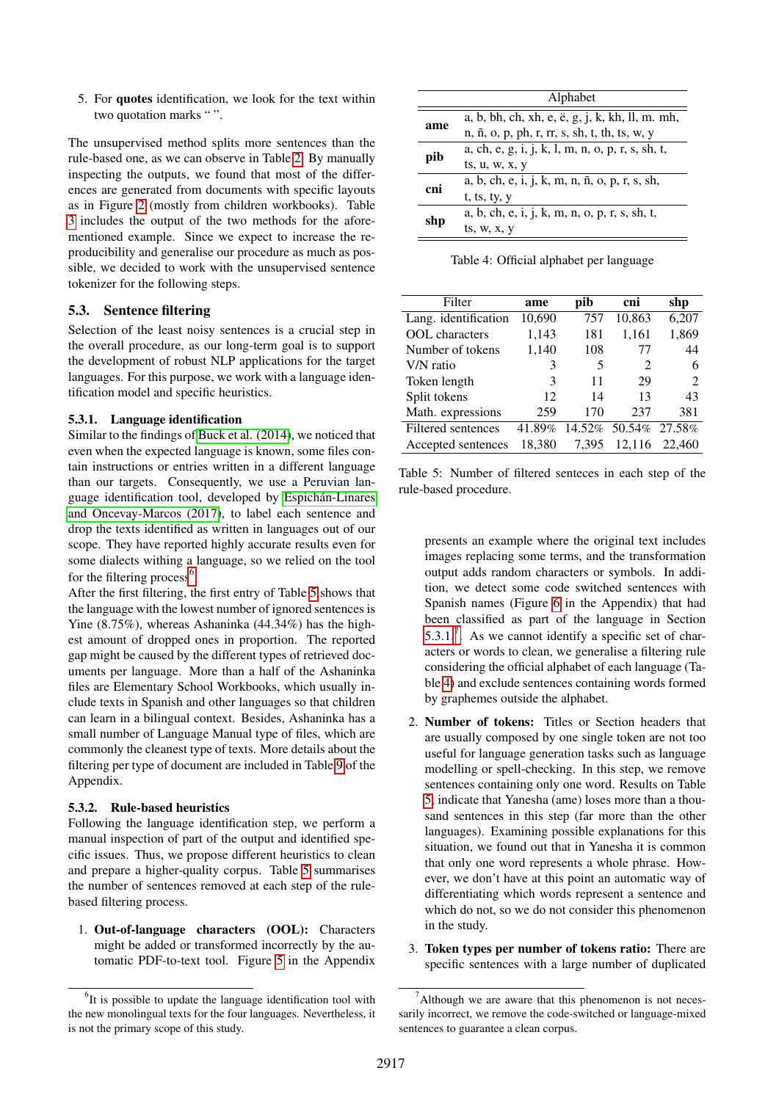5. For quotes identification, we look for the text within two quotation marks "".

The unsupervised method splits more sentences than the rule-based one, as we can observe in Table [2.](#page-2-4) By manually inspecting the outputs, we found that most of the differences are generated from documents with specific layouts as in Figure [2](#page-2-1) (mostly from children workbooks). Table [3](#page-2-5) includes the output of the two methods for the aforementioned example. Since we expect to increase the reproducibility and generalise our procedure as much as possible, we decided to work with the unsupervised sentence tokenizer for the following steps.

#### 5.3. Sentence filtering

Selection of the least noisy sentences is a crucial step in the overall procedure, as our long-term goal is to support the development of robust NLP applications for the target languages. For this purpose, we work with a language identification model and specific heuristics.

#### <span id="page-3-2"></span>5.3.1. Language identification

Similar to the findings of [Buck et al. \(2014\)](#page-8-1), we noticed that even when the expected language is known, some files contain instructions or entries written in a different language than our targets. Consequently, we use a Peruvian language identification tool, developed by Espichán-Linares [and Oncevay-Marcos \(2017\)](#page-8-15), to label each sentence and drop the texts identified as written in languages out of our scope. They have reported highly accurate results even for some dialects withing a language, so we relied on the tool for the filtering process $<sup>6</sup>$  $<sup>6</sup>$  $<sup>6</sup>$ .</sup>

After the first filtering, the first entry of Table [5](#page-3-1) shows that the language with the lowest number of ignored sentences is Yine (8.75%), whereas Ashaninka (44.34%) has the highest amount of dropped ones in proportion. The reported gap might be caused by the different types of retrieved documents per language. More than a half of the Ashaninka files are Elementary School Workbooks, which usually include texts in Spanish and other languages so that children can learn in a bilingual context. Besides, Ashaninka has a small number of Language Manual type of files, which are commonly the cleanest type of texts. More details about the filtering per type of document are included in Table [9](#page-6-1) of the Appendix.

#### 5.3.2. Rule-based heuristics

Following the language identification step, we perform a manual inspection of part of the output and identified specific issues. Thus, we propose different heuristics to clean and prepare a higher-quality corpus. Table [5](#page-3-1) summarises the number of sentences removed at each step of the rulebased filtering process.

1. Out-of-language characters (OOL): Characters might be added or transformed incorrectly by the automatic PDF-to-text tool. Figure [5](#page-6-0) in the Appendix

<span id="page-3-4"></span>

|     | Alphabet                                          |
|-----|---------------------------------------------------|
|     | a, b, bh, ch, xh, e, ë, g, j, k, kh, ll, m. mh,   |
| ame | n, ñ, o, p, ph, r, rr, s, sh, t, th, ts, w, y     |
|     | a, ch, e, g, i, j, k, l, m, n, o, p, r, s, sh, t, |
| pib | ts, u, w, x, y                                    |
| cni | a, b, ch, e, i, j, k, m, n, ñ, o, p, r, s, sh,    |
|     | t, ts, ty, y                                      |
|     | a, b, ch, e, i, j, k, m, n, o, p, r, s, sh, t,    |
| shp | ts, w, x, y                                       |

Table 4: Official alphabet per language

<span id="page-3-1"></span>

| Filter                | ame    | pib   | cni                         | shp           |
|-----------------------|--------|-------|-----------------------------|---------------|
| Lang. identification  | 10,690 | 757   | 10,863                      | 6,207         |
| <b>OOL</b> characters | 1,143  | 181   | 1,161                       | 1,869         |
| Number of tokens      | 1,140  | 108   | 77                          | 44            |
| V/N ratio             | 3      | 5     | $\mathcal{D}_{\mathcal{L}}$ | 6             |
| Token length          | 3      | 11    | 29                          | $\mathcal{D}$ |
| Split tokens          | 12     | 14    | 13                          | 43            |
| Math. expressions     | 259    | 170   | 237                         | 381           |
| Filtered sentences    | 41.89% |       | 14.52% 50.54% 27.58%        |               |
| Accepted sentences    | 18.380 | 7.395 | 12,116                      | 22,460        |

Table 5: Number of filtered senteces in each step of the rule-based procedure.

presents an example where the original text includes images replacing some terms, and the transformation output adds random characters or symbols. In addition, we detect some code switched sentences with Spanish names (Figure [6](#page-6-2) in the Appendix) that had been classified as part of the language in Section  $5.3.1$ .<sup>[7](#page-3-3)</sup>. As we cannot identify a specific set of characters or words to clean, we generalise a filtering rule considering the official alphabet of each language (Table [4\)](#page-3-4) and exclude sentences containing words formed by graphemes outside the alphabet.

- 2. Number of tokens: Titles or Section headers that are usually composed by one single token are not too useful for language generation tasks such as language modelling or spell-checking. In this step, we remove sentences containing only one word. Results on Table [5,](#page-3-1) indicate that Yanesha (ame) loses more than a thousand sentences in this step (far more than the other languages). Examining possible explanations for this situation, we found out that in Yanesha it is common that only one word represents a whole phrase. However, we don't have at this point an automatic way of differentiating which words represent a sentence and which do not, so we do not consider this phenomenon in the study.
- 3. Token types per number of tokens ratio: There are specific sentences with a large number of duplicated

<span id="page-3-0"></span> ${}^{6}$ It is possible to update the language identification tool with the new monolingual texts for the four languages. Nevertheless, it is not the primary scope of this study.

<span id="page-3-3"></span> $\alpha$ <sup>7</sup>Although we are aware that this phenomenon is not necessarily incorrect, we remove the code-switched or language-mixed sentences to guarantee a clean corpus.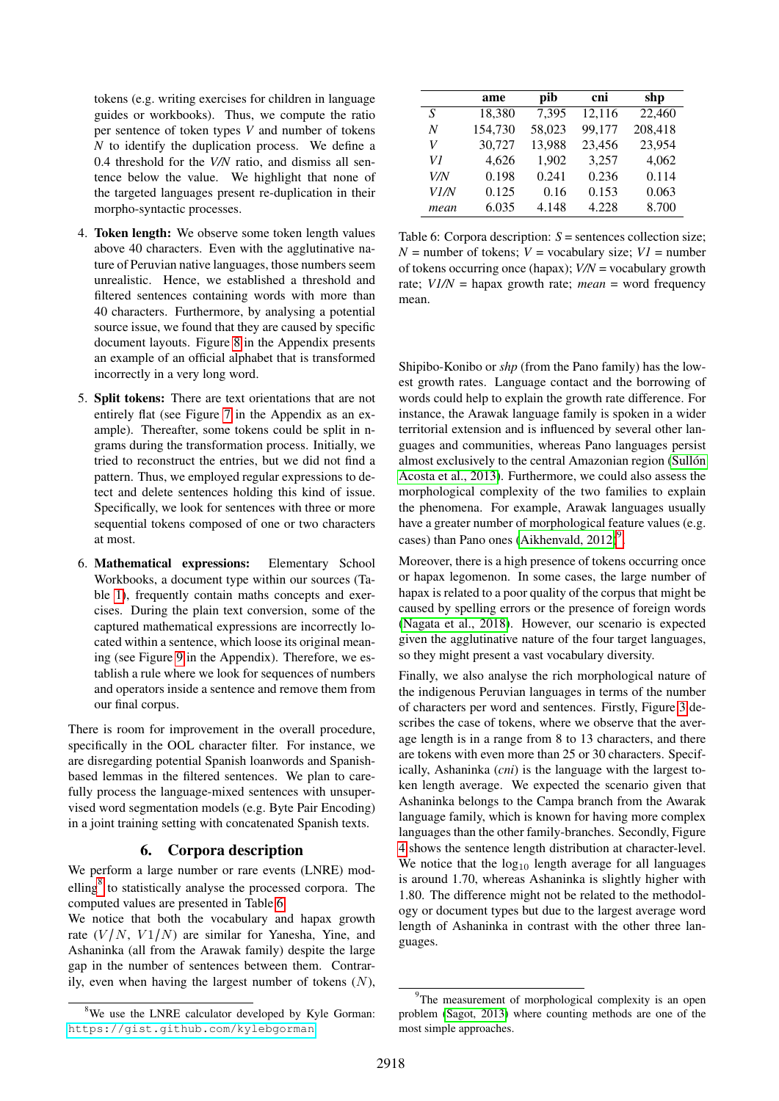tokens (e.g. writing exercises for children in language guides or workbooks). Thus, we compute the ratio per sentence of token types *V* and number of tokens *N* to identify the duplication process. We define a 0.4 threshold for the *V/N* ratio, and dismiss all sentence below the value. We highlight that none of the targeted languages present re-duplication in their morpho-syntactic processes.

- 4. Token length: We observe some token length values above 40 characters. Even with the agglutinative nature of Peruvian native languages, those numbers seem unrealistic. Hence, we established a threshold and filtered sentences containing words with more than 40 characters. Furthermore, by analysing a potential source issue, we found that they are caused by specific document layouts. Figure [8](#page-7-0) in the Appendix presents an example of an official alphabet that is transformed incorrectly in a very long word.
- 5. Split tokens: There are text orientations that are not entirely flat (see Figure [7](#page-7-1) in the Appendix as an example). Thereafter, some tokens could be split in ngrams during the transformation process. Initially, we tried to reconstruct the entries, but we did not find a pattern. Thus, we employed regular expressions to detect and delete sentences holding this kind of issue. Specifically, we look for sentences with three or more sequential tokens composed of one or two characters at most.
- 6. Mathematical expressions: Elementary School Workbooks, a document type within our sources (Ta-ble [1\)](#page-2-0), frequently contain maths concepts and exercises. During the plain text conversion, some of the captured mathematical expressions are incorrectly located within a sentence, which loose its original meaning (see Figure [9](#page-7-2) in the Appendix). Therefore, we establish a rule where we look for sequences of numbers and operators inside a sentence and remove them from our final corpus.

There is room for improvement in the overall procedure, specifically in the OOL character filter. For instance, we are disregarding potential Spanish loanwords and Spanishbased lemmas in the filtered sentences. We plan to carefully process the language-mixed sentences with unsupervised word segmentation models (e.g. Byte Pair Encoding) in a joint training setting with concatenated Spanish texts.

#### 6. Corpora description

We perform a large number or rare events (LNRE) mod-elling<sup>[8](#page-4-0)</sup> to statistically analyse the processed corpora. The computed values are presented in Table [6.](#page-4-1)

We notice that both the vocabulary and hapax growth rate  $(V/N, V1/N)$  are similar for Yanesha, Yine, and Ashaninka (all from the Arawak family) despite the large gap in the number of sentences between them. Contrarily, even when having the largest number of tokens  $(N)$ ,

<span id="page-4-1"></span>

|      | ame     | pib    | cni    | shp     |
|------|---------|--------|--------|---------|
| S    | 18,380  | 7,395  | 12,116 | 22,460  |
| N    | 154,730 | 58,023 | 99,177 | 208,418 |
| V    | 30,727  | 13,988 | 23,456 | 23,954  |
| V1   | 4,626   | 1,902  | 3,257  | 4,062   |
| V/N  | 0.198   | 0.241  | 0.236  | 0.114   |
| V1/N | 0.125   | 0.16   | 0.153  | 0.063   |
| mean | 6.035   | 4.148  | 4.228  | 8.700   |

Table 6: Corpora description: *S* = sentences collection size;  $N =$  number of tokens;  $V =$  vocabulary size;  $VI =$  number of tokens occurring once (hapax); *V/N* = vocabulary growth rate; *V1/N* = hapax growth rate; *mean* = word frequency mean.

Shipibo-Konibo or *shp* (from the Pano family) has the lowest growth rates. Language contact and the borrowing of words could help to explain the growth rate difference. For instance, the Arawak language family is spoken in a wider territorial extension and is influenced by several other languages and communities, whereas Pano languages persist almost exclusively to the central Amazonian region (Sullón [Acosta et al., 2013\)](#page-9-1). Furthermore, we could also assess the morphological complexity of the two families to explain the phenomena. For example, Arawak languages usually have a greater number of morphological feature values (e.g. cases) than Pano ones (Aikhenvald,  $2012$ )<sup>[9](#page-4-2)</sup>.

Moreover, there is a high presence of tokens occurring once or hapax legomenon. In some cases, the large number of hapax is related to a poor quality of the corpus that might be caused by spelling errors or the presence of foreign words [\(Nagata et al., 2018\)](#page-8-17). However, our scenario is expected given the agglutinative nature of the four target languages, so they might present a vast vocabulary diversity.

Finally, we also analyse the rich morphological nature of the indigenous Peruvian languages in terms of the number of characters per word and sentences. Firstly, Figure [3](#page-5-0) describes the case of tokens, where we observe that the average length is in a range from 8 to 13 characters, and there are tokens with even more than 25 or 30 characters. Specifically, Ashaninka (*cni*) is the language with the largest token length average. We expected the scenario given that Ashaninka belongs to the Campa branch from the Awarak language family, which is known for having more complex languages than the other family-branches. Secondly, Figure [4](#page-5-1) shows the sentence length distribution at character-level. We notice that the  $log_{10}$  length average for all languages is around 1.70, whereas Ashaninka is slightly higher with 1.80. The difference might not be related to the methodology or document types but due to the largest average word length of Ashaninka in contrast with the other three languages.

<span id="page-4-0"></span><sup>&</sup>lt;sup>8</sup>We use the LNRE calculator developed by Kyle Gorman: <https://gist.github.com/kylebgorman>

<span id="page-4-2"></span><sup>&</sup>lt;sup>9</sup>The measurement of morphological complexity is an open problem [\(Sagot, 2013\)](#page-9-4) where counting methods are one of the most simple approaches.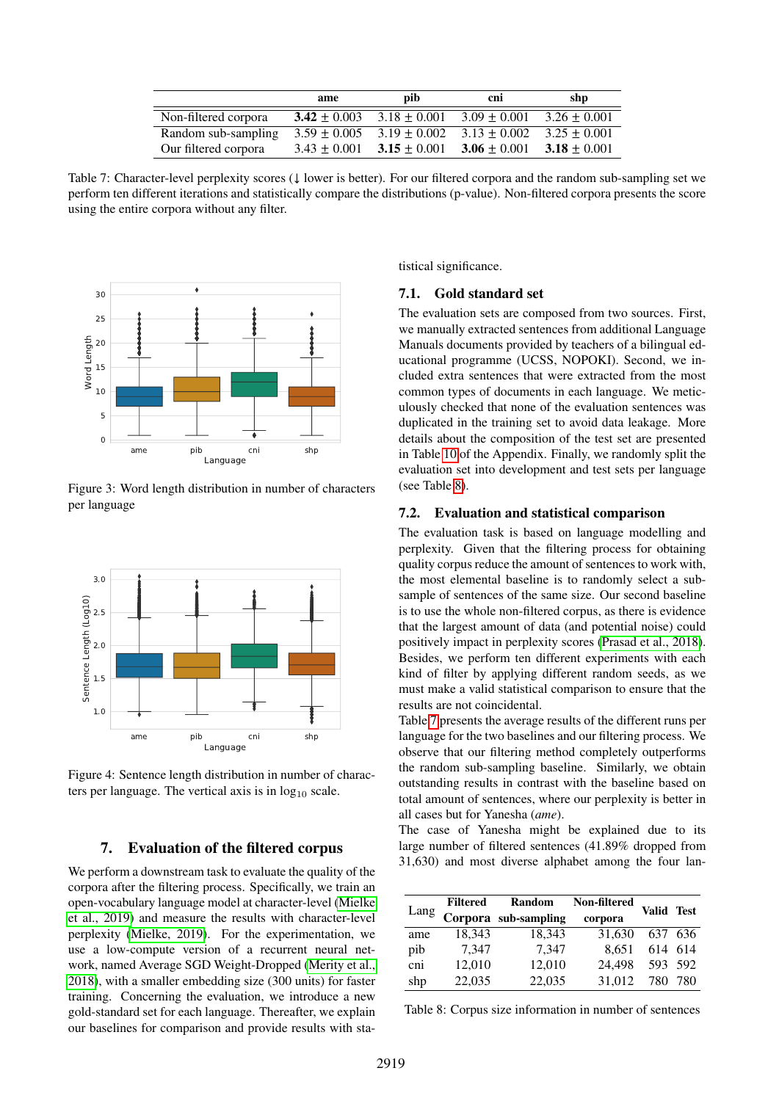<span id="page-5-3"></span>

|                      | ame              | pib.             | cni              | shp            |
|----------------------|------------------|------------------|------------------|----------------|
| Non-filtered corpora | $3.42 \pm 0.003$ | $3.18 + 0.001$   | $3.09 \pm 0.001$ | $3.26 + 0.001$ |
| Random sub-sampling  | $3.59 + 0.005$   | $3.19 \pm 0.002$ | $3.13 \pm 0.002$ | $3.25 + 0.001$ |
| Our filtered corpora | $3.43 \pm 0.001$ | $3.15 \pm 0.001$ | $3.06 \pm 0.001$ | $3.18 + 0.001$ |

Table 7: Character-level perplexity scores (↓ lower is better). For our filtered corpora and the random sub-sampling set we perform ten different iterations and statistically compare the distributions (p-value). Non-filtered corpora presents the score using the entire corpora without any filter.

<span id="page-5-0"></span>

Figure 3: Word length distribution in number of characters per language

<span id="page-5-1"></span>

Figure 4: Sentence length distribution in number of characters per language. The vertical axis is in  $log_{10}$  scale.

#### 7. Evaluation of the filtered corpus

We perform a downstream task to evaluate the quality of the corpora after the filtering process. Specifically, we train an open-vocabulary language model at character-level [\(Mielke](#page-8-18) [et al., 2019\)](#page-8-18) and measure the results with character-level perplexity [\(Mielke, 2019\)](#page-8-19). For the experimentation, we use a low-compute version of a recurrent neural network, named Average SGD Weight-Dropped [\(Merity et al.,](#page-8-20) [2018\)](#page-8-20), with a smaller embedding size (300 units) for faster training. Concerning the evaluation, we introduce a new gold-standard set for each language. Thereafter, we explain our baselines for comparison and provide results with statistical significance.

#### 7.1. Gold standard set

The evaluation sets are composed from two sources. First, we manually extracted sentences from additional Language Manuals documents provided by teachers of a bilingual educational programme (UCSS, NOPOKI). Second, we included extra sentences that were extracted from the most common types of documents in each language. We meticulously checked that none of the evaluation sentences was duplicated in the training set to avoid data leakage. More details about the composition of the test set are presented in Table [10](#page-7-3) of the Appendix. Finally, we randomly split the evaluation set into development and test sets per language (see Table [8\)](#page-5-2).

#### 7.2. Evaluation and statistical comparison

The evaluation task is based on language modelling and perplexity. Given that the filtering process for obtaining quality corpus reduce the amount of sentences to work with, the most elemental baseline is to randomly select a subsample of sentences of the same size. Our second baseline is to use the whole non-filtered corpus, as there is evidence that the largest amount of data (and potential noise) could positively impact in perplexity scores [\(Prasad et al., 2018\)](#page-8-21). Besides, we perform ten different experiments with each kind of filter by applying different random seeds, as we must make a valid statistical comparison to ensure that the results are not coincidental.

Table [7](#page-5-3) presents the average results of the different runs per language for the two baselines and our filtering process. We observe that our filtering method completely outperforms the random sub-sampling baseline. Similarly, we obtain outstanding results in contrast with the baseline based on total amount of sentences, where our perplexity is better in all cases but for Yanesha (*ame*).

The case of Yanesha might be explained due to its large number of filtered sentences (41.89% dropped from 31,630) and most diverse alphabet among the four lan-

<span id="page-5-2"></span>

|      | Filtered | Random               | Non-filtered |         | Valid Test |
|------|----------|----------------------|--------------|---------|------------|
| Lang |          | Corpora sub-sampling | corpora      |         |            |
| ame  | 18.343   | 18,343               | 31,630       | 637 636 |            |
| pib  | 7,347    | 7,347                | 8.651        |         | 614 614    |
| cni  | 12,010   | 12,010               | 24,498       |         | 593 592    |
| shp  | 22,035   | 22,035               | 31.012       | 780     | 780        |

Table 8: Corpus size information in number of sentences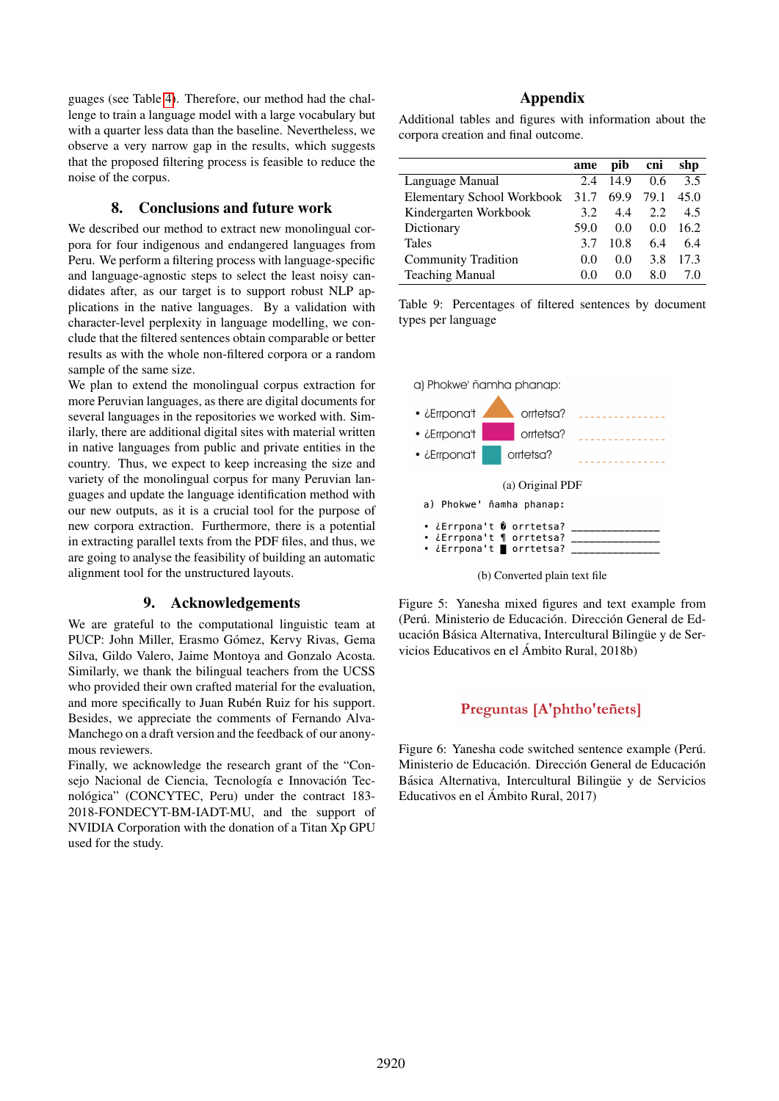guages (see Table [4\)](#page-3-4). Therefore, our method had the challenge to train a language model with a large vocabulary but with a quarter less data than the baseline. Nevertheless, we observe a very narrow gap in the results, which suggests that the proposed filtering process is feasible to reduce the noise of the corpus.

#### 8. Conclusions and future work

We described our method to extract new monolingual corpora for four indigenous and endangered languages from Peru. We perform a filtering process with language-specific and language-agnostic steps to select the least noisy candidates after, as our target is to support robust NLP applications in the native languages. By a validation with character-level perplexity in language modelling, we conclude that the filtered sentences obtain comparable or better results as with the whole non-filtered corpora or a random sample of the same size.

We plan to extend the monolingual corpus extraction for more Peruvian languages, as there are digital documents for several languages in the repositories we worked with. Similarly, there are additional digital sites with material written in native languages from public and private entities in the country. Thus, we expect to keep increasing the size and variety of the monolingual corpus for many Peruvian languages and update the language identification method with our new outputs, as it is a crucial tool for the purpose of new corpora extraction. Furthermore, there is a potential in extracting parallel texts from the PDF files, and thus, we are going to analyse the feasibility of building an automatic alignment tool for the unstructured layouts.

#### 9. Acknowledgements

We are grateful to the computational linguistic team at PUCP: John Miller, Erasmo Gómez, Kervy Rivas, Gema Silva, Gildo Valero, Jaime Montoya and Gonzalo Acosta. Similarly, we thank the bilingual teachers from the UCSS who provided their own crafted material for the evaluation, and more specifically to Juan Rubén Ruiz for his support. Besides, we appreciate the comments of Fernando Alva-Manchego on a draft version and the feedback of our anonymous reviewers.

Finally, we acknowledge the research grant of the "Consejo Nacional de Ciencia, Tecnología e Innovación Tecnológica" (CONCYTEC, Peru) under the contract 183-2018-FONDECYT-BM-IADT-MU, and the support of NVIDIA Corporation with the donation of a Titan Xp GPU used for the study.

#### Appendix

Additional tables and figures with information about the corpora creation and final outcome.

<span id="page-6-1"></span>

|                                   | ame  | pib  | cni  | shp  |
|-----------------------------------|------|------|------|------|
| Language Manual                   | 2.4  | 14.9 | 0.6  | 3.5  |
| <b>Elementary School Workbook</b> | 31.7 | 69.9 | 79.1 | 45.0 |
| Kindergarten Workbook             | 3.2  | 4.4  | 2.2  | 4.5  |
| Dictionary                        | 59.0 | 0.0  | 0.0  | 16.2 |
| <b>Tales</b>                      | 3.7  | 10.8 | 6.4  | 6.4  |
| <b>Community Tradition</b>        | 0.0  | 0.0  | 3.8  | 17.3 |
| <b>Teaching Manual</b>            | 0.0  | 0.0  | 8.0  | 70   |

Table 9: Percentages of filtered sentences by document types per language

<span id="page-6-0"></span>

(b) Converted plain text file

Figure 5: Yanesha mixed figures and text example from (Perú. Ministerio de Educación. Dirección General de Educación Básica Alternativa, Intercultural Bilingüe y de Servicios Educativos en el Ambito Rural, 2018b) ´

### Preguntas [A'phtho'teñets]

<span id="page-6-2"></span>Figure 6: Yanesha code switched sentence example (Perú. Ministerio de Educación. Dirección General de Educación Básica Alternativa, Intercultural Bilingüe y de Servicios Educativos en el Ambito Rural, 2017) ´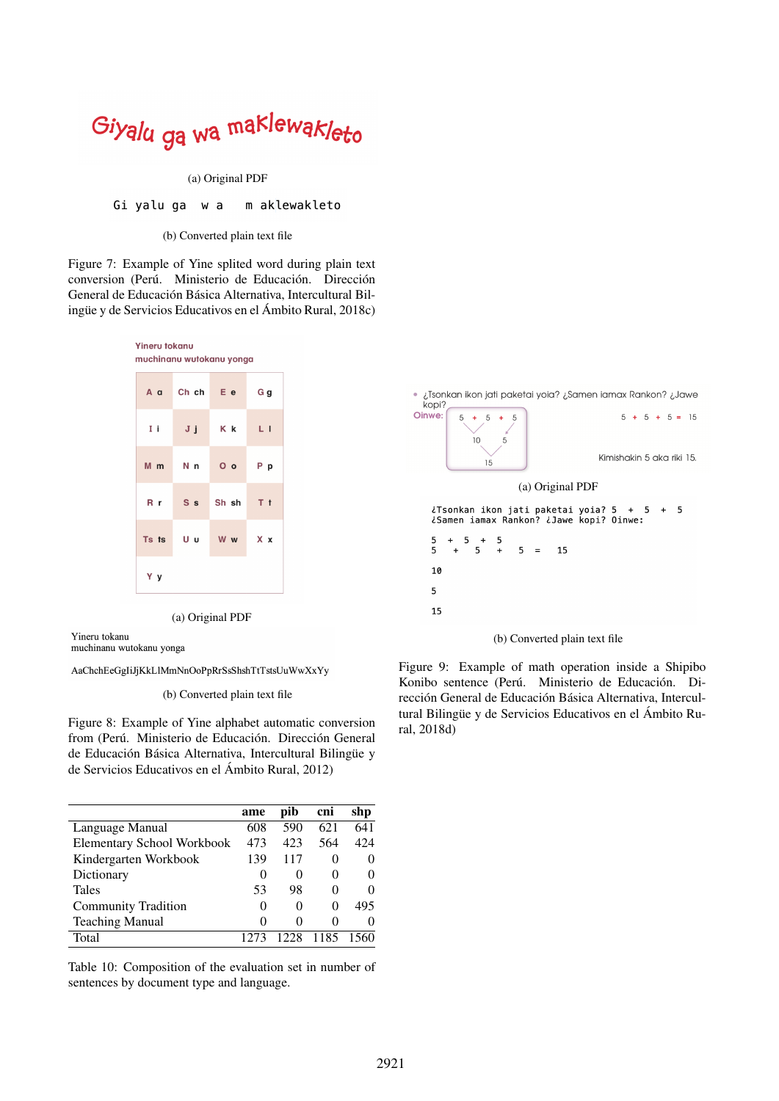# <span id="page-7-1"></span>Giyalu ga wa maklewakleto

#### (a) Original PDF

#### Gi yalu ga w a m aklewakleto

#### (b) Converted plain text file

Figure 7: Example of Yine splited word during plain text conversion (Perú. Ministerio de Educación. Dirección General de Educación Básica Alternativa, Intercultural Bilingüe y de Servicios Educativos en el Ámbito Rural,  $2018c$ )

<span id="page-7-0"></span>

|    | A a Ch ch E e G g |  |
|----|-------------------|--|
|    | Ii Jj Kk Ll       |  |
|    | Mm Nn Oo Pp       |  |
|    | Rr Ss Sh sh Tt    |  |
|    | Ts ts U u W w X x |  |
| Yy |                   |  |

(a) Original PDF

Yineru tokanu

muchinanu wutokanu yonga

AaChchEeGgIiJjKkLlMmNnOoPpRrSsShshTtTstsUuWwXxYy

#### (b) Converted plain text file

Figure 8: Example of Yine alphabet automatic conversion from (Perú. Ministerio de Educación. Dirección General de Educación Básica Alternativa, Intercultural Bilingüe y de Servicios Educativos en el Ambito Rural, 2012) ´

<span id="page-7-3"></span>

|                                   | ame          | pib      | cni      | shp  |
|-----------------------------------|--------------|----------|----------|------|
| Language Manual                   | 608          | 590      | 621      | 641  |
| <b>Elementary School Workbook</b> | 473          | 423      | 564      | 424  |
| Kindergarten Workbook             | 139          | 117      |          | 0    |
| Dictionary                        | 0            | $\theta$ | 0        | 0    |
| <b>Tales</b>                      | 53           | 98       |          | 0    |
| <b>Community Tradition</b>        | $_{0}$       | 0        | $\Omega$ | 495  |
| <b>Teaching Manual</b>            | $\mathbf{0}$ | $\theta$ | $\Omega$ | 0    |
| Total                             |              | 1228     | 1185     | 1560 |
|                                   |              |          |          |      |

Table 10: Composition of the evaluation set in number of sentences by document type and language.

<span id="page-7-2"></span>

Figure 9: Example of math operation inside a Shipibo Konibo sentence (Perú. Ministerio de Educación. Dirección General de Educación Básica Alternativa, Intercultural Bilingüe y de Servicios Educativos en el Ámbito Rural, 2018d)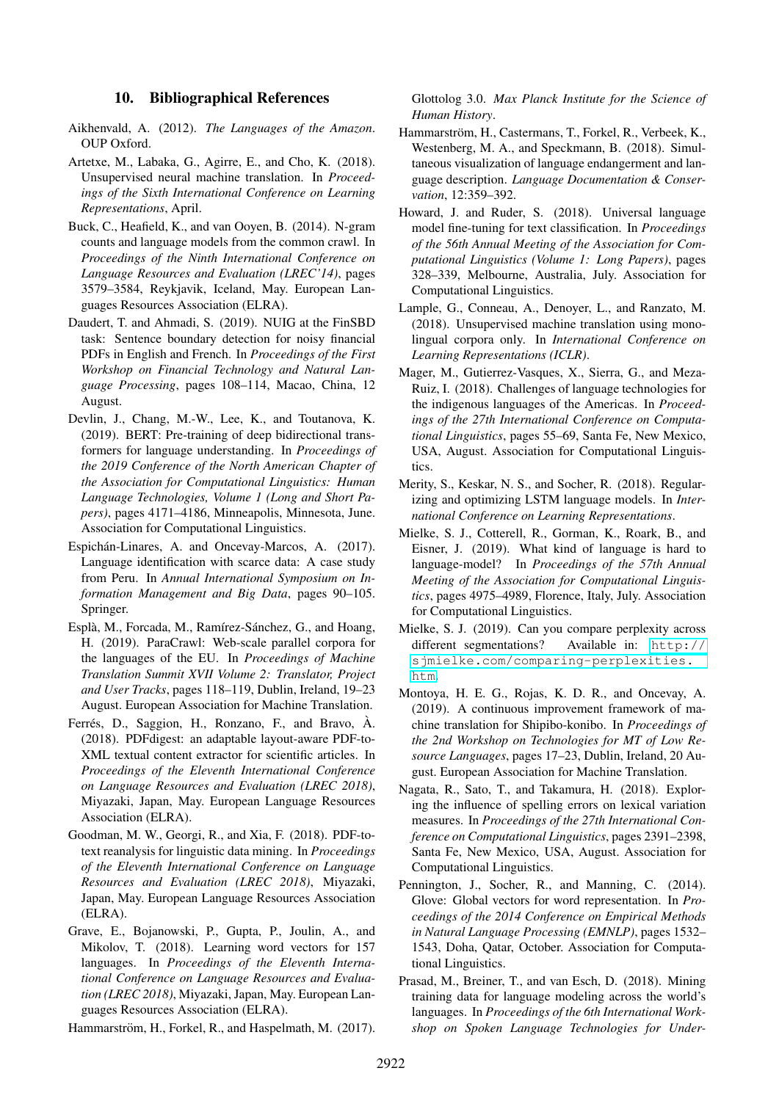#### 10. Bibliographical References

- <span id="page-8-16"></span>Aikhenvald, A. (2012). *The Languages of the Amazon*. OUP Oxford.
- <span id="page-8-2"></span>Artetxe, M., Labaka, G., Agirre, E., and Cho, K. (2018). Unsupervised neural machine translation. In *Proceedings of the Sixth International Conference on Learning Representations*, April.
- <span id="page-8-1"></span>Buck, C., Heafield, K., and van Ooyen, B. (2014). N-gram counts and language models from the common crawl. In *Proceedings of the Ninth International Conference on Language Resources and Evaluation (LREC'14)*, pages 3579–3584, Reykjavik, Iceland, May. European Languages Resources Association (ELRA).
- <span id="page-8-14"></span>Daudert, T. and Ahmadi, S. (2019). NUIG at the FinSBD task: Sentence boundary detection for noisy financial PDFs in English and French. In *Proceedings of the First Workshop on Financial Technology and Natural Language Processing*, pages 108–114, Macao, China, 12 August.
- <span id="page-8-0"></span>Devlin, J., Chang, M.-W., Lee, K., and Toutanova, K. (2019). BERT: Pre-training of deep bidirectional transformers for language understanding. In *Proceedings of the 2019 Conference of the North American Chapter of the Association for Computational Linguistics: Human Language Technologies, Volume 1 (Long and Short Papers)*, pages 4171–4186, Minneapolis, Minnesota, June. Association for Computational Linguistics.
- <span id="page-8-15"></span>Espichán-Linares, A. and Oncevay-Marcos, A. (2017). Language identification with scarce data: A case study from Peru. In *Annual International Symposium on Information Management and Big Data*, pages 90–105. Springer.
- <span id="page-8-11"></span>Esplà, M., Forcada, M., Ramírez-Sánchez, G., and Hoang, H. (2019). ParaCrawl: Web-scale parallel corpora for the languages of the EU. In *Proceedings of Machine Translation Summit XVII Volume 2: Translator, Project and User Tracks*, pages 118–119, Dublin, Ireland, 19–23 August. European Association for Machine Translation.
- <span id="page-8-13"></span>Ferrés, D., Saggion, H., Ronzano, F., and Bravo,  $\hat{A}$ . (2018). PDFdigest: an adaptable layout-aware PDF-to-XML textual content extractor for scientific articles. In *Proceedings of the Eleventh International Conference on Language Resources and Evaluation (LREC 2018)*, Miyazaki, Japan, May. European Language Resources Association (ELRA).
- <span id="page-8-12"></span>Goodman, M. W., Georgi, R., and Xia, F. (2018). PDF-totext reanalysis for linguistic data mining. In *Proceedings of the Eleventh International Conference on Language Resources and Evaluation (LREC 2018)*, Miyazaki, Japan, May. European Language Resources Association (ELRA).
- <span id="page-8-9"></span>Grave, E., Bojanowski, P., Gupta, P., Joulin, A., and Mikolov, T. (2018). Learning word vectors for 157 languages. In *Proceedings of the Eleventh International Conference on Language Resources and Evaluation (LREC 2018)*, Miyazaki, Japan, May. European Languages Resources Association (ELRA).

<span id="page-8-7"></span>Hammarström, H., Forkel, R., and Haspelmath, M. (2017).

Glottolog 3.0. *Max Planck Institute for the Science of Human History*.

- <span id="page-8-8"></span>Hammarström, H., Castermans, T., Forkel, R., Verbeek, K., Westenberg, M. A., and Speckmann, B. (2018). Simultaneous visualization of language endangerment and language description. *Language Documentation & Conservation*, 12:359–392.
- <span id="page-8-4"></span>Howard, J. and Ruder, S. (2018). Universal language model fine-tuning for text classification. In *Proceedings of the 56th Annual Meeting of the Association for Computational Linguistics (Volume 1: Long Papers)*, pages 328–339, Melbourne, Australia, July. Association for Computational Linguistics.
- <span id="page-8-3"></span>Lample, G., Conneau, A., Denoyer, L., and Ranzato, M. (2018). Unsupervised machine translation using monolingual corpora only. In *International Conference on Learning Representations (ICLR)*.
- <span id="page-8-5"></span>Mager, M., Gutierrez-Vasques, X., Sierra, G., and Meza-Ruiz, I. (2018). Challenges of language technologies for the indigenous languages of the Americas. In *Proceedings of the 27th International Conference on Computational Linguistics*, pages 55–69, Santa Fe, New Mexico, USA, August. Association for Computational Linguistics.
- <span id="page-8-20"></span>Merity, S., Keskar, N. S., and Socher, R. (2018). Regularizing and optimizing LSTM language models. In *International Conference on Learning Representations*.
- <span id="page-8-18"></span>Mielke, S. J., Cotterell, R., Gorman, K., Roark, B., and Eisner, J. (2019). What kind of language is hard to language-model? In *Proceedings of the 57th Annual Meeting of the Association for Computational Linguistics*, pages 4975–4989, Florence, Italy, July. Association for Computational Linguistics.
- <span id="page-8-19"></span>Mielke, S. J. (2019). Can you compare perplexity across different segmentations? Available in: [http://](http://sjmielke.com/comparing-perplexities.htm) [sjmielke.com/comparing-perplexities.](http://sjmielke.com/comparing-perplexities.htm) [htm](http://sjmielke.com/comparing-perplexities.htm).
- <span id="page-8-6"></span>Montoya, H. E. G., Rojas, K. D. R., and Oncevay, A. (2019). A continuous improvement framework of machine translation for Shipibo-konibo. In *Proceedings of the 2nd Workshop on Technologies for MT of Low Resource Languages*, pages 17–23, Dublin, Ireland, 20 August. European Association for Machine Translation.
- <span id="page-8-17"></span>Nagata, R., Sato, T., and Takamura, H. (2018). Exploring the influence of spelling errors on lexical variation measures. In *Proceedings of the 27th International Conference on Computational Linguistics*, pages 2391–2398, Santa Fe, New Mexico, USA, August. Association for Computational Linguistics.
- <span id="page-8-10"></span>Pennington, J., Socher, R., and Manning, C. (2014). Glove: Global vectors for word representation. In *Proceedings of the 2014 Conference on Empirical Methods in Natural Language Processing (EMNLP)*, pages 1532– 1543, Doha, Qatar, October. Association for Computational Linguistics.
- <span id="page-8-21"></span>Prasad, M., Breiner, T., and van Esch, D. (2018). Mining training data for language modeling across the world's languages. In *Proceedings of the 6th International Workshop on Spoken Language Technologies for Under-*